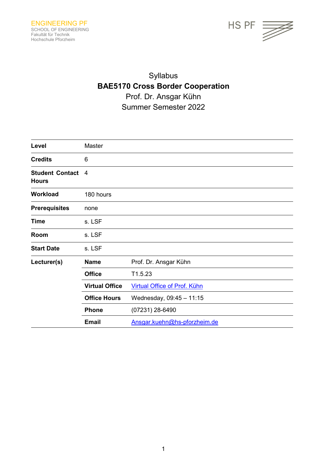

# Syllabus **BAE5170 Cross Border Cooperation** Prof. Dr. Ansgar Kühn Summer Semester 2022

| Level                                  | Master                |                              |
|----------------------------------------|-----------------------|------------------------------|
| <b>Credits</b>                         | 6                     |                              |
| <b>Student Contact</b><br><b>Hours</b> | 4                     |                              |
| <b>Workload</b>                        | 180 hours             |                              |
| <b>Prerequisites</b>                   | none                  |                              |
| <b>Time</b>                            | s. LSF                |                              |
| Room                                   | s. LSF                |                              |
| <b>Start Date</b>                      | s. LSF                |                              |
| Lecturer(s)                            | <b>Name</b>           | Prof. Dr. Ansgar Kühn        |
|                                        | <b>Office</b>         | T1.5.23                      |
|                                        | <b>Virtual Office</b> | Virtual Office of Prof. Kühn |
|                                        | <b>Office Hours</b>   | Wednesday, 09:45 - 11:15     |
|                                        | <b>Phone</b>          | (07231) 28-6490              |
|                                        | <b>Email</b>          | Ansgar.kuehn@hs-pforzheim.de |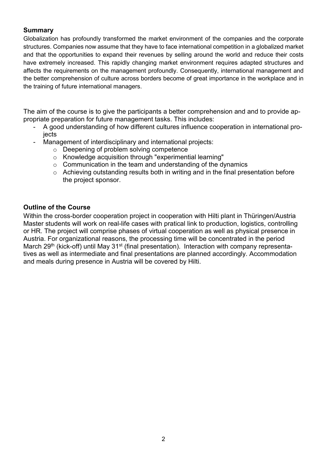## **Summary**

Globalization has profoundly transformed the market environment of the companies and the corporate structures. Companies now assume that they have to face international competition in a globalized market and that the opportunities to expand their revenues by selling around the world and reduce their costs have extremely increased. This rapidly changing market environment requires adapted structures and affects the requirements on the management profoundly. Consequently, international management and the better comprehension of culture across borders become of great importance in the workplace and in the training of future international managers.

The aim of the course is to give the participants a better comprehension and and to provide appropriate preparation for future management tasks. This includes:

- A good understanding of how different cultures influence cooperation in international projects
- Management of interdisciplinary and international projects:
	- o Deepening of problem solving competence
	- o Knowledge acquisition through "experimential learning"
	- $\circ$  Communication in the team and understanding of the dynamics
	- o Achieving outstanding results both in writing and in the final presentation before the project sponsor.

## **Outline of the Course**

Within the cross-border cooperation project in cooperation with Hilti plant in Thüringen/Austria Master students will work on real-life cases with pratical link to production, logistics, controlling or HR. The project will comprise phases of virtual cooperation as well as physical presence in Austria. For organizational reasons, the processing time will be concentrated in the period March 29<sup>th</sup> (kick-off) until May 31<sup>st</sup> (final presentation). Interaction with company representatives as well as intermediate and final presentations are planned accordingly. Accommodation and meals during presence in Austria will be covered by Hilti.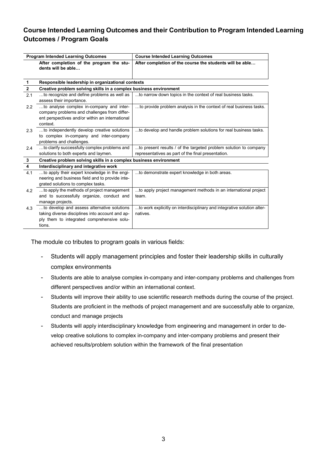# **Course Intended Learning Outcomes and their Contribution to Program Intended Learning Outcomes / Program Goals**

| <b>Program Intended Learning Outcomes</b> |                                                                                                                                                         | <b>Course Intended Learning Outcomes</b>                                            |  |
|-------------------------------------------|---------------------------------------------------------------------------------------------------------------------------------------------------------|-------------------------------------------------------------------------------------|--|
|                                           | After completion of the program the stu-<br>dents will be able                                                                                          | After completion of the course the students will be able                            |  |
| $\mathbf 1$                               | Responsible leadership in organizational contexts                                                                                                       |                                                                                     |  |
| $\overline{2}$                            | Creative problem solving skills in a complex business environment                                                                                       |                                                                                     |  |
| 2.1                                       | to recognize and define problems as well as<br>assess their importance.                                                                                 | to narrow down topics in the context of real business tasks.                        |  |
| 2.2                                       | to analyse complex in-company and inter-<br>company problems and challenges from differ-<br>ent perspectives and/or within an international<br>context. | to provide problem analysis in the context of real business tasks.                  |  |
| 2.3                                       | to independently develop creative solutions<br>to complex in-company and inter-company<br>problems and challenges.                                      | to develop and handle problem solutions for real business tasks.                    |  |
| 2.4                                       | to clarify successfully complex problems and                                                                                                            | to present results / of the targeted problem solution to company                    |  |
|                                           | solutions to both experts and laymen.                                                                                                                   | representatives as part of the final presentation.                                  |  |
| 3                                         | Creative problem solving skills in a complex business environment                                                                                       |                                                                                     |  |
| $\overline{\mathbf{4}}$                   | Interdisciplinary and integrative work                                                                                                                  |                                                                                     |  |
| 4 1                                       | to apply their expert knowledge in the engi-<br>neering and business field and to provide inte-<br>grated solutions to complex tasks.                   | to demonstrate expert knowledge in both areas.                                      |  |
| 4.2                                       | to apply the methods of project management<br>and to successfully organize, conduct and<br>manage projects.                                             | to apply project management methods in an international project<br>team.            |  |
| 4.3                                       | to develop and assess alternative solutions<br>taking diverse disciplines into account and ap-<br>ply them to integrated comprehensive solu-<br>tions.  | to work explicitly on interdisciplinary and integrative solution alter-<br>natives. |  |

The module co tributes to program goals in various fields:

- Students will apply management principles and foster their leadership skills in culturally complex environments
- Students are able to analyse complex in-company and inter-company problems and challenges from different perspectives and/or within an international context.
- Students will improve their ability to use scientific research methods during the course of the project. Students are proficient in the methods of project management and are successfully able to organize, conduct and manage projects
- Students will apply interdisciplinary knowledge from engineering and management in order to develop creative solutions to complex in-company and inter-company problems and present their achieved results/problem solution within the framework of the final presentation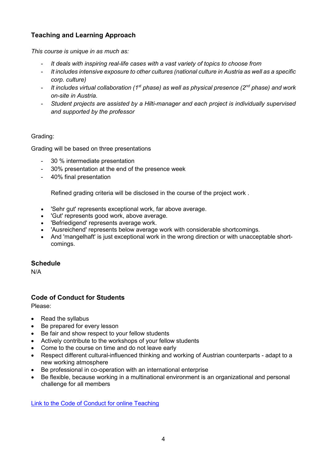# **Teaching and Learning Approach**

*This course is unique in as much as:*

- *It deals with inspiring real-life cases with a vast variety of topics to choose from*
- *It includes intensive exposure to other cultures (national culture in Austria as well as a specific corp. culture)*
- *It includes virtual collaboration (1st phase) as well as physical presence (2nd phase) and work on-site in Austria.*
- *Student projects are assisted by a Hilti-manager and each project is individually supervised and supported by the professor*

## Grading:

Grading will be based on three presentations

- 30 % intermediate presentation
- 30% presentation at the end of the presence week
- 40% final presentation

Refined grading criteria will be disclosed in the course of the project work .

- 'Sehr gut' represents exceptional work, far above average.
- 'Gut' represents good work, above average.
- 'Befriedigend' represents average work.
- 'Ausreichend' represents below average work with considerable shortcomings.
- And 'mangelhaft' is just exceptional work in the wrong direction or with unacceptable shortcomings.

## **Schedule**

N/A

## **Code of Conduct for Students**

Please:

- Read the syllabus
- Be prepared for every lesson
- Be fair and show respect to your fellow students
- Actively contribute to the workshops of your fellow students
- Come to the course on time and do not leave early
- Respect different cultural-influenced thinking and working of Austrian counterparts adapt to a new working atmosphere
- Be professional in co-operation with an international enterprise
- Be flexible, because working in a multinational environment is an organizational and personal challenge for all members

[Link to the Code of Conduct for online Teaching](https://e-campus.hs-pforzheim.de/business_pf/digital_learning_tools_links)